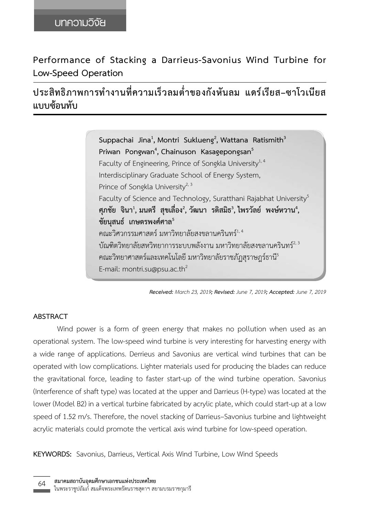**Performance of Stacking a Darrieus-Savonius Wind Turbine for Low-Speed Operation**

**ประสิทธิภาพการท�ำงานที่ความเร็วลมต�่ำของกังหันลม แดร์เรียส–ซาโวเนียส แบบซ้อนทับ**

> $\mathsf{Suppachai}$  Jina $^1$ , Montri Suklueng $^2$ , Wattana Ratismith $^3$ **Priwan Pongwan<sup>4</sup> , Chainuson Kasagepongsan5** Faculty of Engineering, Prince of Songkla University $^{1,4}$ Interdisciplinary Graduate School of Energy System, Prince of Songkla University $^{2,3}$ Faculty of Science and Technology, Suratthani Rajabhat University<sup>5</sup> ศุภชัย จินา<sup>1</sup>, มนตรี สุขเลื่อง<sup>2</sup>, วัฒนา รติสมิธ<sup>3</sup>, ไพรวัลย์ พงษ์หวาน<sup>4</sup>, **ชัยนุสนธ์ เกษตรพงศ์ศาล5** คณะวิศวกรรมศาสตร์ มหาวิทยาลัยสงขลานครินทร์ $^{1,\,4}$ บัณฑิตวิทยาลัยสหวิทยาการระบบพลังงาน มหาวิทยาลัยสงขลานครินทร์ $^{\mathsf{2,3}}$ คณะวิทยาศาสตร์และเทคโนโลยี มหาวิทยาลัยราชภัฏสุราษฎร์ธานี $^{\rm 5}$ E-mail: montri.su@psu.ac.th<sup>2</sup>

## **ABSTRACT**

Wind power is a form of green energy that makes no pollution when used as an operational system. The low-speed wind turbine is very interesting for harvesting energy with a wide range of applications. Derrieus and Savonius are vertical wind turbines that can be operated with low complications. Lighter materials used for producing the blades can reduce the gravitational force, leading to faster start-up of the wind turbine operation. Savonius (Interference of shaft type) was located at the upper and Darrieus (H-type) was located at the lower (Model B2) in a vertical turbine fabricated by acrylic plate, which could start-up at a low speed of 1.52 m/s. Therefore, the novel stacking of Darrieus–Savonius turbine and lightweight acrylic materials could promote the vertical axis wind turbine for low-speed operation.

**KEYWORDS:** Savonius, Darrieus, Vertical Axis Wind Turbine, Low Wind Speeds

*Received: March 23, 2019; Revised: June 7, 2019; Accepted: June 7, 2019*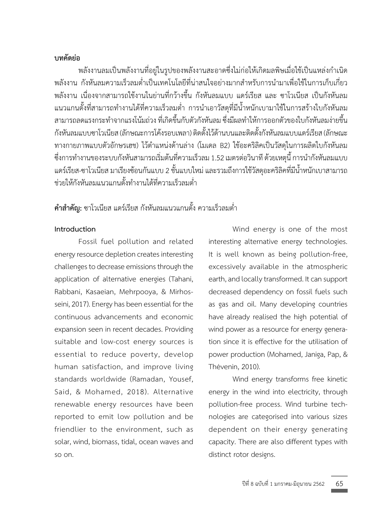# **บทคัดย่อ**

พลังงานลมเป็นพลังงานที่อยู่ในรูปของพลังงานสะอาดซึ่งไม่ก่อให้เกิดมลพิษเมื่อใช้เป็นแหล่งกำเนิด พลังงาน กังหันลมความเร็วลมต่ำเป็นเทคโนโลยีที่น่าสนใจอย่างมากสำหรับการนำมาเพื่อใช้ในการเก็บเกี่ยว พลังงาน เนื่องจากสามารถใช้งานในย่านที่กว้างขึ้น กังหันลมแบบ แดร์เรียส และ ซาโวเนียส เป็นกังหันลม แนวแกนตั้งที่สามารถทำงานได้ที่ความเร็วลมต่ำ การนำเอาวัสดุที่มีน้ำหนักเบามาใช้ในการสร้างใบกังหันลม สามารถลดแรงกระทำจากแรงโน้มถ่วง ที่เกิดขึ้นกับตัวกังหันลม ซึ่งมีผลทำให้การออกตัวของใบกังหันลมง่ายขึ้น กังหันลมแบบซาโวเนียส(ลักษณะการโค้งรอบเพลา)ติดตั้งไว้ด้านบนและติดตั้งกังหันลมแบบแดร์เรียส(ลักษณะ ทางกายภาพแบบตัวอักษรเฮช) ไว้ตำแหน่งด้านล่าง (โมเดล B2) ใช้อะคริลิคเป็นวัสดุในการผลิตใบกังหันลม ซึ่งการทำงานของระบบกังหันสามารถเริ่มต้นที่ความเร็วลม 1.52 เมตรต่อวินาที ด้วยเหตุนี้ การนำกังหันลมแบบ แดร์เรียส-ซาโวเนียส มาเรียงซ้อนกันแบบ 2ชั้นแบบใหม่และรวมถึงการใช้วัสดุอะคริลิคที่มีน้ำหนักเบาสามารถ ช่วยให้กังหันลมแนวแกนตั้งทำงานได้ที่ความเร็วลมต่ำ

# **ค�ำส�ำคัญ:** ซาโวเนียส แดร์เรียส กังหันลมแนวแกนตั้ง ความเร็วลมต่ำ

# **Introduction**

Fossil fuel pollution and related energy resource depletion creates interesting challenges to decrease emissions through the application of alternative energies (Tahani, Rabbani, Kasaeian, Mehrpooya, & Mirhosseini, 2017). Energy has been essential for the continuous advancements and economic expansion seen in recent decades. Providing suitable and low-cost energy sources is essential to reduce poverty, develop human satisfaction, and improve living standards worldwide (Ramadan, Yousef, Said, & Mohamed, 2018). Alternative renewable energy resources have been reported to emit low pollution and be friendlier to the environment, such as solar, wind, biomass, tidal, ocean waves and so on.

Wind energy is one of the most interesting alternative energy technologies. It is well known as being pollution-free, excessively available in the atmospheric earth, and locally transformed. It can support decreased dependency on fossil fuels such as gas and oil. Many developing countries have already realised the high potential of wind power as a resource for energy generation since it is effective for the utilisation of power production (Mohamed, Janiga, Pap, & Thévenin, 2010).

Wind energy transforms free kinetic energy in the wind into electricity, through pollution-free process. Wind turbine technologies are categorised into various sizes dependent on their energy generating capacity. There are also different types with distinct rotor designs.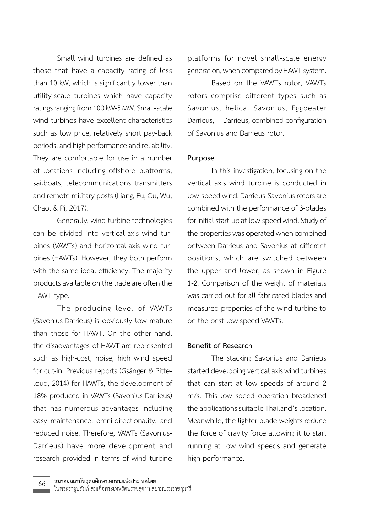Small wind turbines are defined as those that have a capacity rating of less than 10 kW, which is significantly lower than utility-scale turbines which have capacity ratings ranging from 100 kW-5 MW. Small-scale wind turbines have excellent characteristics such as low price, relatively short pay-back periods, and high performance and reliability. They are comfortable for use in a number of locations including offshore platforms, sailboats, telecommunications transmitters and remote military posts (Liang, Fu, Ou, Wu, Chao, & Pi, 2017).

Generally, wind turbine technologies can be divided into vertical-axis wind turbines (VAWTs) and horizontal-axis wind turbines (HAWTs). However, they both perform with the same ideal efficiency. The majority products available on the trade are often the HAWT type.

The producing level of VAWTs (Savonius-Darrieus) is obviously low mature than those for HAWT. On the other hand, the disadvantages of HAWT are represented such as high-cost, noise, high wind speed for cut-in. Previous reports (Gsänger & Pitteloud, 2014) for HAWTs, the development of 18% produced in VAWTs (Savonius-Darrieus) that has numerous advantages including easy maintenance, omni-directionality, and reduced noise. Therefore, VAWTs (Savonius-Darrieus) have more development and research provided in terms of wind turbine

platforms for novel small-scale energy generation, when compared by HAWT system.

Based on the VAWTs rotor, VAWTs rotors comprise different types such as Savonius, helical Savonius, Eggbeater Darrieus, H-Darrieus, combined configuration of Savonius and Darrieus rotor.

#### **Purpose**

In this investigation, focusing on the vertical axis wind turbine is conducted in low-speed wind. Darrieus-Savonius rotors are combined with the performance of 3-blades for initial start-up at low-speed wind. Study of the properties was operated when combined between Darrieus and Savonius at different positions, which are switched between the upper and lower, as shown in Figure 1-2. Comparison of the weight of materials was carried out for all fabricated blades and measured properties of the wind turbine to be the best low-speed VAWTs.

### **Benefit of Research**

The stacking Savonius and Darrieus started developing vertical axis wind turbines that can start at low speeds of around 2 m/s. This low speed operation broadened the applications suitable Thailand's location. Meanwhile, the lighter blade weights reduce the force of gravity force allowing it to start running at low wind speeds and generate high performance.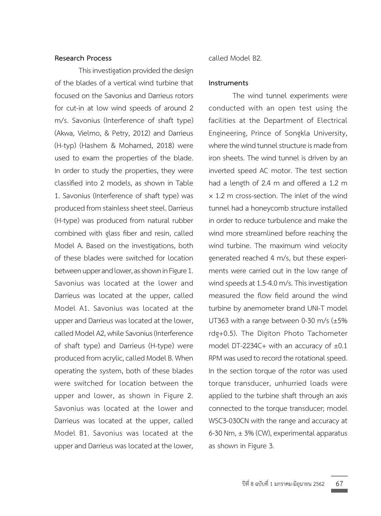## **Research Process**

This investigation provided the design of the blades of a vertical wind turbine that focused on the Savonius and Darrieus rotors for cut-in at low wind speeds of around 2 m/s. Savonius (Interference of shaft type) (Akwa, Vielmo, & Petry, 2012) and Darrieus (H-typ) (Hashem & Mohamed, 2018) were used to exam the properties of the blade. In order to study the properties, they were classified into 2 models, as shown in Table 1. Savonius (Interference of shaft type) was produced from stainless sheet steel. Darrieus (H-type) was produced from natural rubber combined with glass fiber and resin, called Model A. Based on the investigations, both of these blades were switched for location between upper and lower, as shown in Figure 1. Savonius was located at the lower and Darrieus was located at the upper, called Model A1. Savonius was located at the upper and Darrieus was located at the lower, called Model A2, while Savonius (Interference of shaft type) and Darrieus (H-type) were produced from acrylic, called Model B. When operating the system, both of these blades were switched for location between the upper and lower, as shown in Figure 2. Savonius was located at the lower and Darrieus was located at the upper, called Model B1. Savonius was located at the upper and Darrieus was located at the lower,

called Model B2.

## **Instruments**

The wind tunnel experiments were conducted with an open test using the facilities at the Department of Electrical Engineering, Prince of Songkla University, where the wind tunnel structure is made from iron sheets. The wind tunnel is driven by an inverted speed AC motor. The test section had a length of 2.4 m and offered a 1.2 m × 1.2 m cross-section. The inlet of the wind tunnel had a honeycomb structure installed in order to reduce turbulence and make the wind more streamlined before reaching the wind turbine. The maximum wind velocity generated reached 4 m/s, but these experiments were carried out in the low range of wind speeds at 1.5-4.0 m/s. This investigation measured the flow field around the wind turbine by anemometer brand UNI-T model UT363 with a range between 0-30 m/s (±5% rdg+0.5). The Digiton Photo Tachometer model DT-2234C+ with an accuracy of  $\pm 0.1$ RPM was used to record the rotational speed. In the section torque of the rotor was used torque transducer, unhurried loads were applied to the turbine shaft through an axis connected to the torque transducer; model WSC3-030CN with the range and accuracy at 6-30 Nm,  $\pm$  3% (CW), experimental apparatus as shown in Figure 3.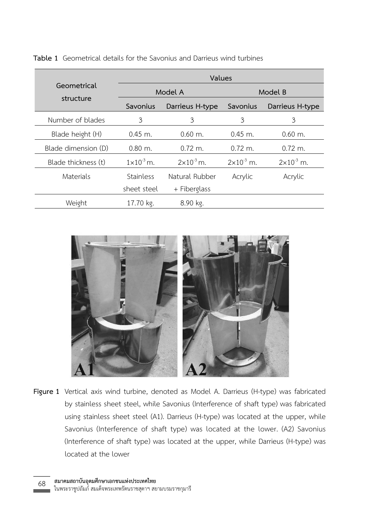|                          | Values                |                       |                       |                       |
|--------------------------|-----------------------|-----------------------|-----------------------|-----------------------|
| Geometrical<br>structure | Model A               |                       | Model B               |                       |
|                          | Savonius              | Darrieus H-type       | Savonius              | Darrieus H-type       |
| Number of blades         | 3                     | 3                     | 3                     | 3                     |
| Blade height (H)         | $0.45$ m.             | $0.60$ m.             | $0.45$ m.             | $0.60$ m.             |
| Blade dimension (D)      | $0.80$ m.             | $0.72 \; \text{m}$ .  | $0.72$ m.             | $0.72 \; \text{m}$ .  |
| Blade thickness (t)      | $1 \times 10^{-3}$ m. | $2 \times 10^{-3}$ m. | $2 \times 10^{-3}$ m. | $2 \times 10^{-3}$ m. |
| Materials                | Stainless             | Natural Rubber        | Acrylic               | Acrylic               |
|                          | sheet steel           | + Fiberglass          |                       |                       |
| Weight                   | 17.70 kg.             | 8.90 kg.              |                       |                       |

**Table 1** Geometrical details for the Savonius and Darrieus wind turbines



Figure 1 Vertical axis wind turbine, denoted as Model A. Darrieus (H-type) was fabricated by stainless sheet steel, while Savonius (Interference of shaft type) was fabricated using stainless sheet steel (A1). Darrieus (H-type) was located at the upper, while Savonius (Interference of shaft type) was located at the lower. (A2) Savonius (Interference of shaft type) was located at the upper, while Darrieus (H-type) was located at the lower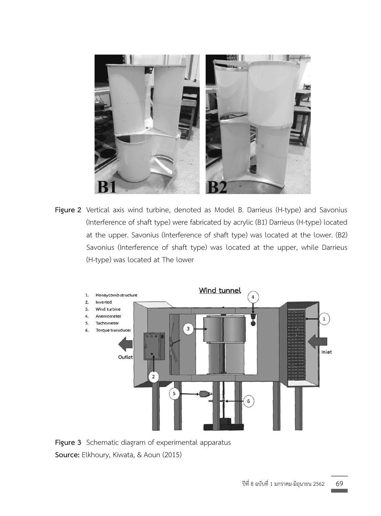

Figure 2 Vertical axis wind turbine, denoted as Model B. Darrieus (H-type) and Savonius (Interference of shaft type) were fabricated by acrylic (B1) Darrieus (H-type) located at the upper. Savonius (Interference of shaft type) was located at the lower. (B2) Savonius (Interference of shaft type) was located at the upper, while Darrieus (H-type) was located at The lower



Figure 3 Schematic diagram of experimental apparatus **Source:** Elkhoury, Kiwata, & Aoun (2015)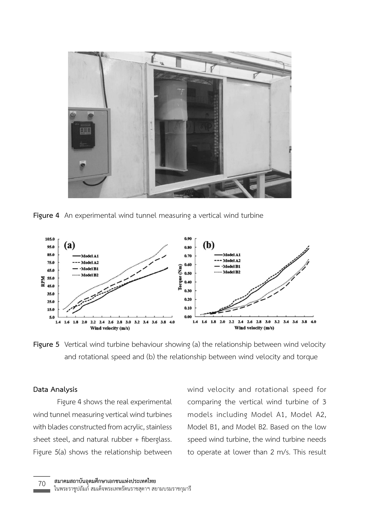

Figure 4 An experimental wind tunnel measuring a vertical wind turbine



**Figure 5** Vertical wind turbine behaviour showing (a) the relationship between wind velocity and rotational speed and (b) the relationship between wind velocity and torque

### **Data Analysis**

Figure 4 shows the real experimental wind tunnel measuring vertical wind turbines with blades constructed from acrylic, stainless sheet steel, and natural rubber + fiberglass. Figure 5(a) shows the relationship between

wind velocity and rotational speed for comparing the vertical wind turbine of 3 models including Model A1, Model A2, Model B1, and Model B2. Based on the low speed wind turbine, the wind turbine needs to operate at lower than 2 m/s. This result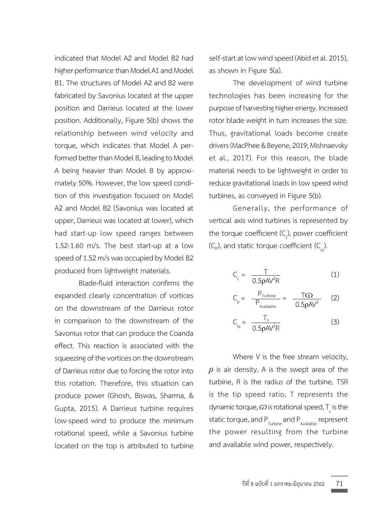indicated that Model A2 and Model B2 had higher performance than Model A1 and Model B1. The structures of Model A2 and B2 were fabricated by Savonius located at the upper position and Darrieus located at the lower position. Additionally, Figure 5(b) shows the relationship between wind velocity and torque, which indicates that Model A performed better than Model B, leading to Model A being heavier than Model B by approximately 50%. However, the low speed condition of this investigation focused on Model A2 and Model B2 (Savonius was located at upper, Darrieus was located at lower), which had start-up low speed ranges between 1.52-1.60 m/s. The best start-up at a low speed of 1.52 m/s was occupied by Model B2 produced from lightweight materials.

Blade-fluid interaction confirms the expanded clearly concentration of vortices on the downstream of the Darrieus rotor in comparison to the downstream of the Savonius rotor that can produce the Coanda effect. This reaction is associated with the squeezing of the vortices on the downstream of Darrieus rotor due to forcing the rotor into this rotation. Therefore, this situation can produce power (Ghosh, Biswas, Sharma, & Gupta, 2015). A Darrieus turbine requires low-speed wind to produce the minimum rotational speed, while a Savonius turbine located on the top is attributed to turbine self-start at low wind speed (Abid et al. 2015), as shown in Figure 5(a).

The development of wind turbine technologies has been increasing for the purpose of harvesting higher energy. Increased rotor blade weight in turn increases the size. Thus, gravitational loads become create drivers (MacPhee & Beyene,2019; Mishnaevsky et al., 2017). For this reason, the blade material needs to be lightweight in order to reduce gravitational loads in low speed wind turbines, as conveyed in Figure 5(b).

Generally, the performance of vertical axis wind turbines is represented by the torque coefficient (C<sub>t</sub>), power coefficient  $(C_{\rho})$ , and static torque coefficient  $(C_{\text{ts}})$ .

$$
C_t = \frac{T}{0.5\rho AV^2R}
$$
 (1)

$$
C_{p} = \frac{P_{Turbine}}{P_{Available}} = \frac{TGD}{0.5\rho A V^{3}}
$$
 (2)

$$
C_{\rm ts} = \frac{T_{\rm s}}{0.5 \rho A V^2 R}
$$
 (3)

Where V is the free stream velocity, *ρ* is air density, A is the swept area of the turbine, R is the radius of the turbine, TSR is the tip speed ratio, T represents the dynamic torque,  $\omega$  is rotational speed, T<sub>s</sub> is the static torque, and P<sub>Turbine</sub> and P<sub>Available</sub> represent the power resulting from the turbine and available wind power, respectively.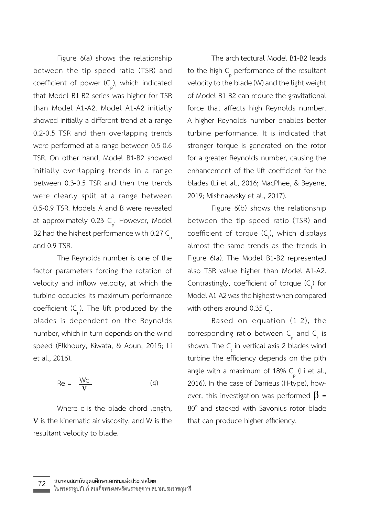Figure 6(a) shows the relationship between the tip speed ratio (TSR) and coefficient of power (C<sub>p</sub>), which indicated that Model B1-B2 series was higher for TSR than Model A1-A2. Model A1-A2 initially showed initially a different trend at a range 0.2-0.5 TSR and then overlapping trends were performed at a range between 0.5-0.6 TSR. On other hand, Model B1-B2 showed initially overlapping trends in a range between 0.3-0.5 TSR and then the trends were clearly split at a range between 0.5-0.9 TSR. Models A and B were revealed at approximately 0.23 C<sub>p</sub>. However, Model B2 had the highest performance with 0.27  $\mathsf{C}_{\mathsf{p}}^{\phantom{\dag}}$ and 0.9 TSR.

The Reynolds number is one of the factor parameters forcing the rotation of velocity and inflow velocity, at which the turbine occupies its maximum performance coefficient (C<sub>p</sub>). The lift produced by the blades is dependent on the Reynolds number, which in turn depends on the wind speed (Elkhoury, Kiwata, & Aoun, 2015; Li et al., 2016).

$$
\text{Re} = \frac{Wc}{V} \tag{4}
$$

Where c is the blade chord length,  $V$  is the kinematic air viscosity, and W is the resultant velocity to blade.

The architectural Model B1-B2 leads to the high  $\mathsf{C}_{_{\mathrm{p}}}$  performance of the resultant velocity to the blade (W) and the light weight of Model B1-B2 can reduce the gravitational force that affects high Reynolds number. A higher Reynolds number enables better turbine performance. It is indicated that stronger torque is generated on the rotor for a greater Reynolds number, causing the enhancement of the lift coefficient for the blades (Li et al., 2016; MacPhee, & Beyene, 2019; Mishnaevsky et al., 2017).

Figure 6(b) shows the relationship between the tip speed ratio (TSR) and coefficient of torque  $(C_t)$ , which displays almost the same trends as the trends in Figure 6(a). The Model B1-B2 represented also TSR value higher than Model A1-A2. Contrastingly, coefficient of torque  $(C_t)$  for Model A1-A2 was the highest when compared with others around 0.35  $C_{\text{t}}$ .

Based on equation (1-2), the corresponding ratio between  $C_{\text{p}}$  and  $C_{\text{t}}$  is shown. The  $C_{\mu}$  in vertical axis 2 blades wind turbine the efficiency depends on the pith angle with a maximum of 18% C<sub>p</sub> (Li et al., 2016). In the case of Darrieus (H-type), however, this investigation was performed  $\beta$  =  $80^\circ$  and stacked with Savonius rotor blade that can produce higher efficiency.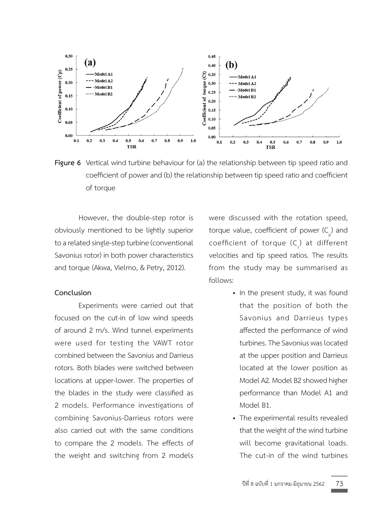

Figure 6 Vertical wind turbine behaviour for (a) the relationship between tip speed ratio and coefficient of power and (b) the relationship between tip speed ratio and coefficient of torque

However, the double-step rotor is obviously mentioned to be lightly superior to a related single-step turbine (conventional Savonius rotor) in both power characteristics and torque (Akwa, Vielmo, & Petry, 2012).

#### **Conclusion**

Experiments were carried out that focused on the cut-in of low wind speeds of around 2 m/s. Wind tunnel experiments were used for testing the VAWT rotor combined between the Savonius and Darrieus rotors. Both blades were switched between locations at upper-lower. The properties of the blades in the study were classified as 2 models. Performance investigations of combining Savonius-Darrieus rotors were also carried out with the same conditions to compare the 2 models. The effects of the weight and switching from 2 models

were discussed with the rotation speed, torque value, coefficient of power  $(\mathsf{C}_\mathsf{p})$  and coefficient of torque  $(C_t)$  at different velocities and tip speed ratios. The results from the study may be summarised as follows:

- In the present study, it was found that the position of both the Savonius and Darrieus types affected the performance of wind turbines. The Savonius was located at the upper position and Darrieus located at the lower position as Model A2. Model B2 showed higher performance than Model A1 and Model B1.
- The experimental results revealed that the weight of the wind turbine will become gravitational loads. The cut-in of the wind turbines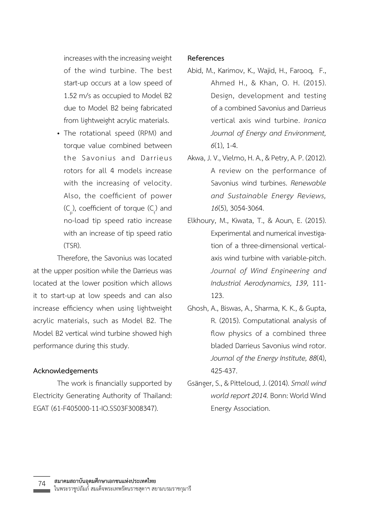increases with the increasing weight of the wind turbine. The best start-up occurs at a low speed of 1.52 m/s as occupied to Model B2 due to Model B2 being fabricated from lightweight acrylic materials.

• The rotational speed (RPM) and torque value combined between the Savonius and Darrieus rotors for all 4 models increase with the increasing of velocity. Also, the coefficient of power  $(C_p)$ , coefficient of torque  $(C_t)$  and no-load tip speed ratio increase with an increase of tip speed ratio (TSR).

Therefore, the Savonius was located at the upper position while the Darrieus was located at the lower position which allows it to start-up at low speeds and can also increase efficiency when using lightweight acrylic materials, such as Model B2. The Model B2 vertical wind turbine showed high performance during this study.

# **Acknowledgements**

The work is financially supported by Electricity Generating Authority of Thailand: EGAT (61-F405000-11-IO.SS03F3008347).

# **References**

- Abid, M., Karimov, K., Wajid, H., Farooq, F., Ahmed H., & Khan, O. H. (2015). Design, development and testing of a combined Savonius and Darrieus vertical axis wind turbine. *Iranica Journal of Energy and Environment, 6*(1), 1-4.
- Akwa, J.V.,Vielmo, H. A., & Petry, A.P. (2012). A review on the performance of Savonius wind turbines. *Renewable and Sustainable Energy Reviews, 16*(5), 3054-3064.
- Elkhoury, M., Kiwata, T., & Aoun, E. (2015). Experimental and numerical investigation of a three-dimensional verticalaxis wind turbine with variable-pitch. *Journal of Wind Engineering and Industrial Aerodynamics, 139,* 111- 123.
- Ghosh, A., Biswas, A., Sharma, K. K., & Gupta, R. (2015). Computational analysis of flow physics of a combined three bladed Darrieus Savonius wind rotor. *Journal of the Energy Institute, 88*(4), 425-437.
- Gsänger,S., & Pitteloud, J. (2014).*Small wind world report 2014.*Bonn: World Wind Energy Association.